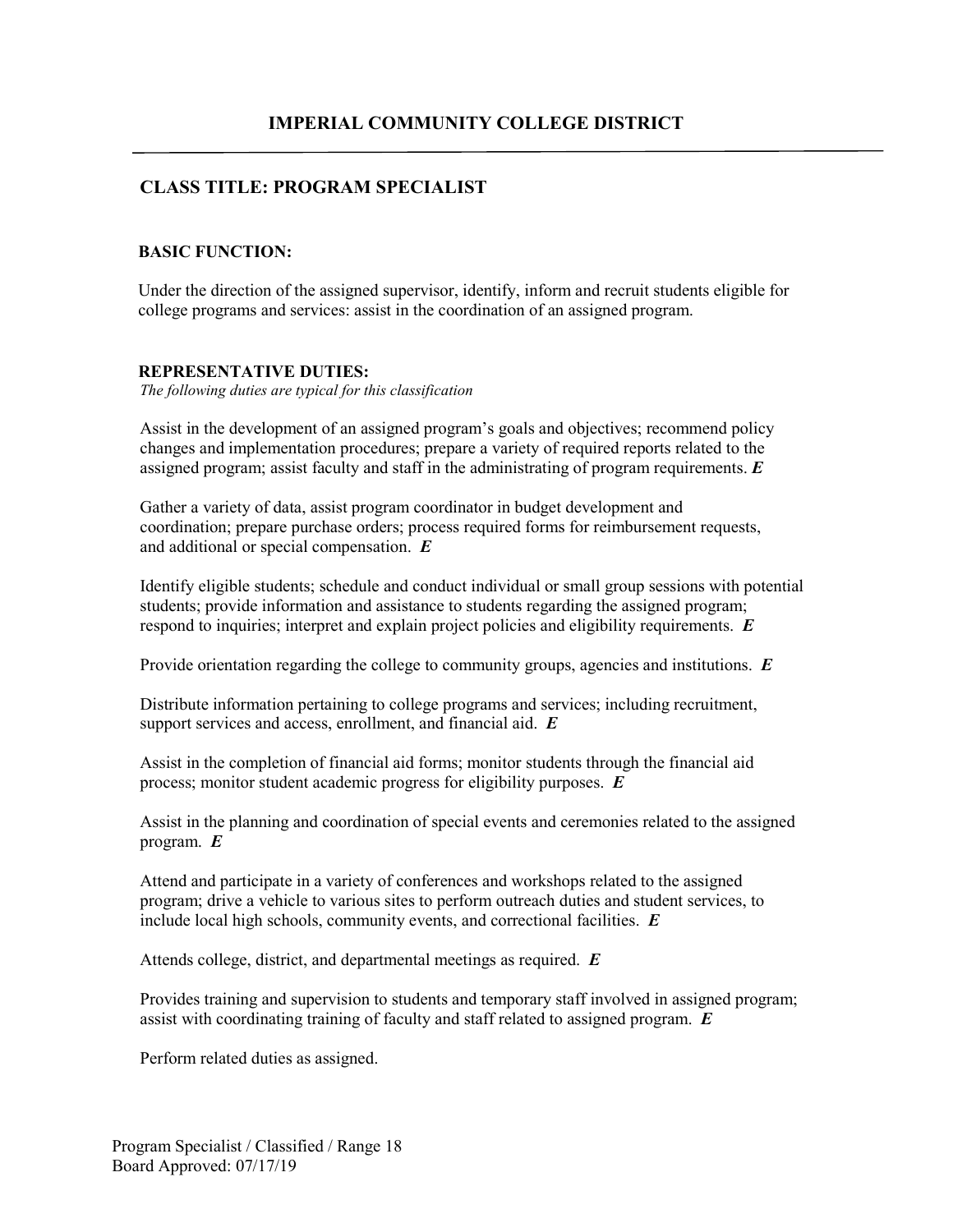# **CLASS TITLE: PROGRAM SPECIALIST**

### **BASIC FUNCTION:**

Under the direction of the assigned supervisor, identify, inform and recruit students eligible for college programs and services: assist in the coordination of an assigned program.

#### **REPRESENTATIVE DUTIES:**

*The following duties are typical for this classification*

Assist in the development of an assigned program's goals and objectives; recommend policy changes and implementation procedures; prepare a variety of required reports related to the assigned program; assist faculty and staff in the administrating of program requirements. *E*

Gather a variety of data, assist program coordinator in budget development and coordination; prepare purchase orders; process required forms for reimbursement requests, and additional or special compensation. *E*

Identify eligible students; schedule and conduct individual or small group sessions with potential students; provide information and assistance to students regarding the assigned program; respond to inquiries; interpret and explain project policies and eligibility requirements. *E*

Provide orientation regarding the college to community groups, agencies and institutions. *E*

Distribute information pertaining to college programs and services; including recruitment, support services and access, enrollment, and financial aid. *E* 

Assist in the completion of financial aid forms; monitor students through the financial aid process; monitor student academic progress for eligibility purposes. *E* 

Assist in the planning and coordination of special events and ceremonies related to the assigned program. *E*

Attend and participate in a variety of conferences and workshops related to the assigned program; drive a vehicle to various sites to perform outreach duties and student services, to include local high schools, community events, and correctional facilities. *E*

Attends college, district, and departmental meetings as required. *E* 

Provides training and supervision to students and temporary staff involved in assigned program; assist with coordinating training of faculty and staff related to assigned program. *E* 

Perform related duties as assigned.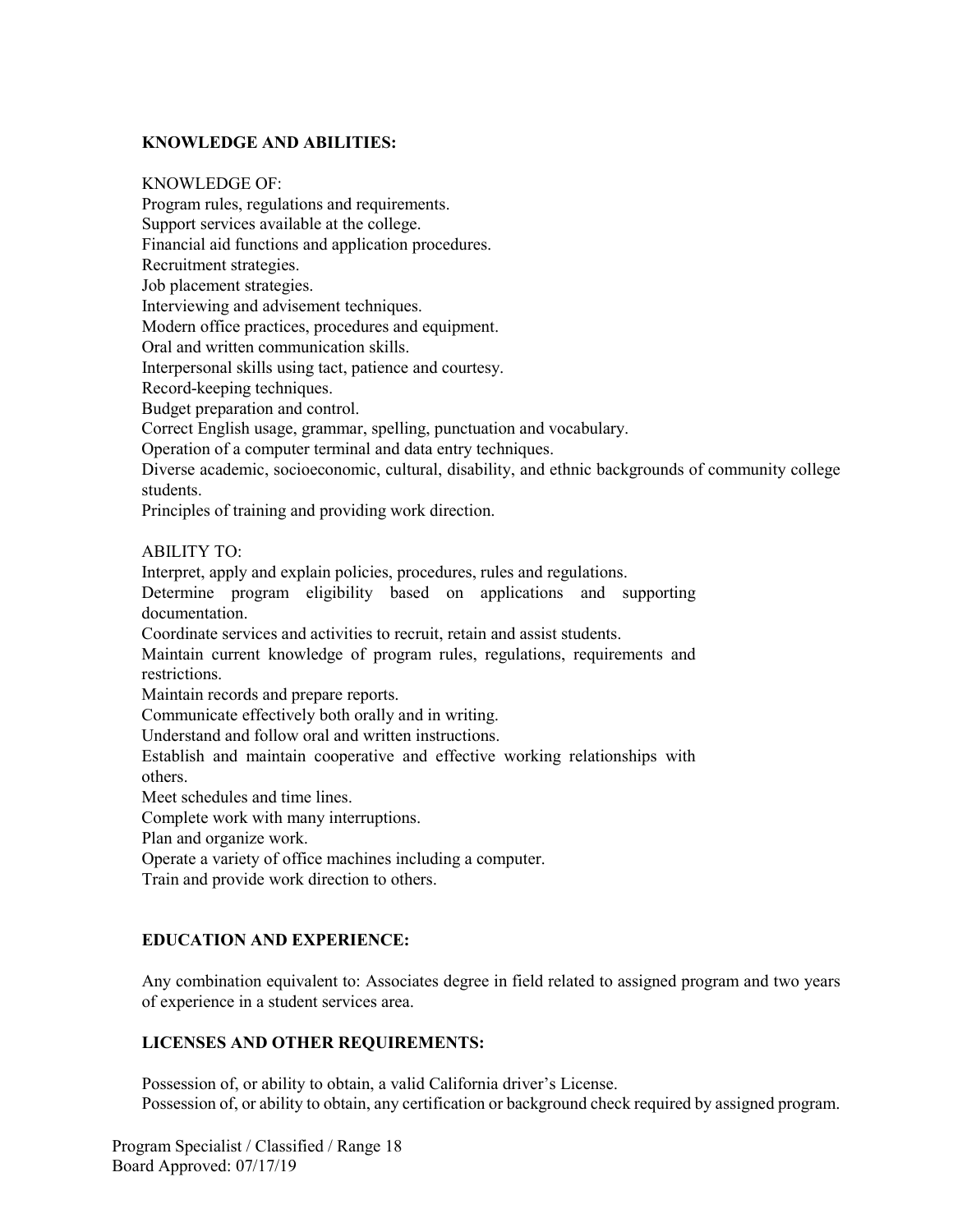### **KNOWLEDGE AND ABILITIES:**

#### KNOWLEDGE OF:

Program rules, regulations and requirements. Support services available at the college. Financial aid functions and application procedures. Recruitment strategies. Job placement strategies. Interviewing and advisement techniques. Modern office practices, procedures and equipment. Oral and written communication skills. Interpersonal skills using tact, patience and courtesy. Record-keeping techniques. Budget preparation and control. Correct English usage, grammar, spelling, punctuation and vocabulary. Operation of a computer terminal and data entry techniques. Diverse academic, socioeconomic, cultural, disability, and ethnic backgrounds of community college students. Principles of training and providing work direction. ABILITY TO: Interpret, apply and explain policies, procedures, rules and regulations. Determine program eligibility based on applications and supporting documentation. Coordinate services and activities to recruit, retain and assist students. Maintain current knowledge of program rules, regulations, requirements and restrictions. Maintain records and prepare reports. Communicate effectively both orally and in writing. Understand and follow oral and written instructions. Establish and maintain cooperative and effective working relationships with others. Meet schedules and time lines. Complete work with many interruptions. Plan and organize work. Operate a variety of office machines including a computer. Train and provide work direction to others. **EDUCATION AND EXPERIENCE:**

Any combination equivalent to: Associates degree in field related to assigned program and two years of experience in a student services area.

## **LICENSES AND OTHER REQUIREMENTS:**

Possession of, or ability to obtain, a valid California driver's License. Possession of, or ability to obtain, any certification or background check required by assigned program.